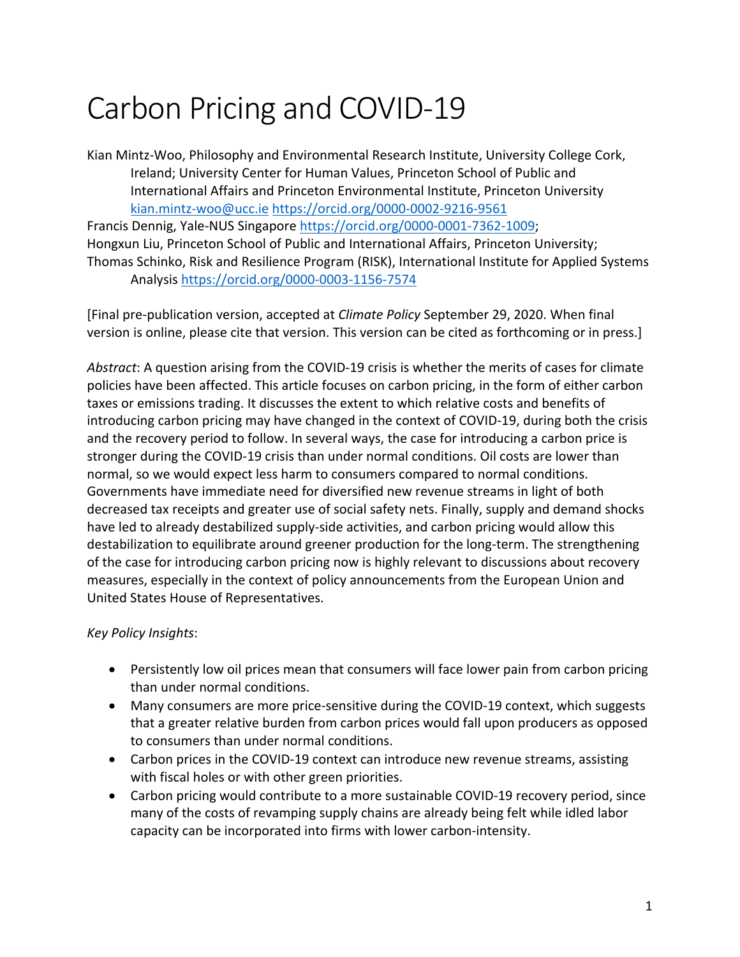# Carbon Pricing and COVID-19

Kian Mintz-Woo, Philosophy and Environmental Research Institute, University College Cork, Ireland; University Center for Human Values, Princeton School of Public and International Affairs and Princeton Environmental Institute, Princeton University kian.mintz-woo@ucc.ie https://orcid.org/0000-0002-9216-9561

Francis Dennig, Yale-NUS Singapore https://orcid.org/0000-0001-7362-1009; Hongxun Liu, Princeton School of Public and International Affairs, Princeton University; Thomas Schinko, Risk and Resilience Program (RISK), International Institute for Applied Systems Analysis https://orcid.org/0000-0003-1156-7574

[Final pre-publication version, accepted at *Climate Policy* September 29, 2020. When final version is online, please cite that version. This version can be cited as forthcoming or in press.]

*Abstract*: A question arising from the COVID-19 crisis is whether the merits of cases for climate policies have been affected. This article focuses on carbon pricing, in the form of either carbon taxes or emissions trading. It discusses the extent to which relative costs and benefits of introducing carbon pricing may have changed in the context of COVID-19, during both the crisis and the recovery period to follow. In several ways, the case for introducing a carbon price is stronger during the COVID-19 crisis than under normal conditions. Oil costs are lower than normal, so we would expect less harm to consumers compared to normal conditions. Governments have immediate need for diversified new revenue streams in light of both decreased tax receipts and greater use of social safety nets. Finally, supply and demand shocks have led to already destabilized supply-side activities, and carbon pricing would allow this destabilization to equilibrate around greener production for the long-term. The strengthening of the case for introducing carbon pricing now is highly relevant to discussions about recovery measures, especially in the context of policy announcements from the European Union and United States House of Representatives.

#### *Key Policy Insights*:

- Persistently low oil prices mean that consumers will face lower pain from carbon pricing than under normal conditions.
- Many consumers are more price-sensitive during the COVID-19 context, which suggests that a greater relative burden from carbon prices would fall upon producers as opposed to consumers than under normal conditions.
- Carbon prices in the COVID-19 context can introduce new revenue streams, assisting with fiscal holes or with other green priorities.
- Carbon pricing would contribute to a more sustainable COVID-19 recovery period, since many of the costs of revamping supply chains are already being felt while idled labor capacity can be incorporated into firms with lower carbon-intensity.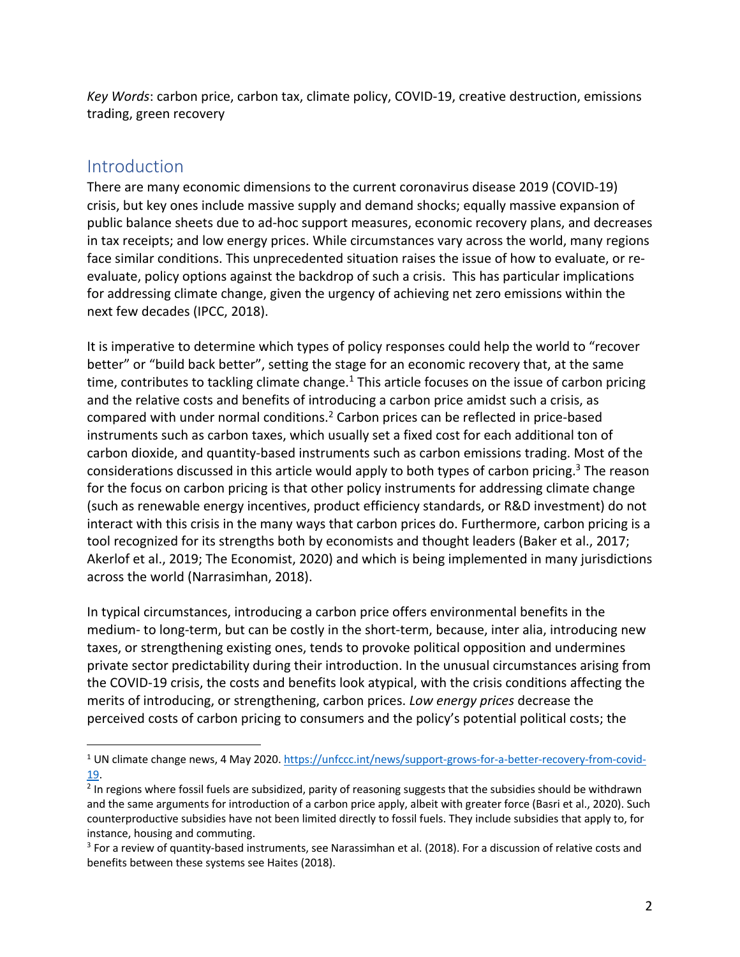*Key Words*: carbon price, carbon tax, climate policy, COVID-19, creative destruction, emissions trading, green recovery

### Introduction

There are many economic dimensions to the current coronavirus disease 2019 (COVID-19) crisis, but key ones include massive supply and demand shocks; equally massive expansion of public balance sheets due to ad-hoc support measures, economic recovery plans, and decreases in tax receipts; and low energy prices. While circumstances vary across the world, many regions face similar conditions. This unprecedented situation raises the issue of how to evaluate, or reevaluate, policy options against the backdrop of such a crisis. This has particular implications for addressing climate change, given the urgency of achieving net zero emissions within the next few decades (IPCC, 2018).

It is imperative to determine which types of policy responses could help the world to "recover better" or "build back better", setting the stage for an economic recovery that, at the same time, contributes to tackling climate change.<sup>1</sup> This article focuses on the issue of carbon pricing and the relative costs and benefits of introducing a carbon price amidst such a crisis, as compared with under normal conditions.2 Carbon prices can be reflected in price-based instruments such as carbon taxes, which usually set a fixed cost for each additional ton of carbon dioxide, and quantity-based instruments such as carbon emissions trading. Most of the considerations discussed in this article would apply to both types of carbon pricing.<sup>3</sup> The reason for the focus on carbon pricing is that other policy instruments for addressing climate change (such as renewable energy incentives, product efficiency standards, or R&D investment) do not interact with this crisis in the many ways that carbon prices do. Furthermore, carbon pricing is a tool recognized for its strengths both by economists and thought leaders (Baker et al., 2017; Akerlof et al., 2019; The Economist, 2020) and which is being implemented in many jurisdictions across the world (Narrasimhan, 2018).

In typical circumstances, introducing a carbon price offers environmental benefits in the medium- to long-term, but can be costly in the short-term, because, inter alia, introducing new taxes, or strengthening existing ones, tends to provoke political opposition and undermines private sector predictability during their introduction. In the unusual circumstances arising from the COVID-19 crisis, the costs and benefits look atypical, with the crisis conditions affecting the merits of introducing, or strengthening, carbon prices. *Low energy prices* decrease the perceived costs of carbon pricing to consumers and the policy's potential political costs; the

<sup>1</sup> UN climate change news, 4 May 2020. https://unfccc.int/news/support-grows-for-a-better-recovery-from-covid-19.

<sup>&</sup>lt;sup>2</sup> In regions where fossil fuels are subsidized, parity of reasoning suggests that the subsidies should be withdrawn and the same arguments for introduction of a carbon price apply, albeit with greater force (Basri et al., 2020). Such counterproductive subsidies have not been limited directly to fossil fuels. They include subsidies that apply to, for instance, housing and commuting.

<sup>&</sup>lt;sup>3</sup> For a review of quantity-based instruments, see Narassimhan et al. (2018). For a discussion of relative costs and benefits between these systems see Haites (2018).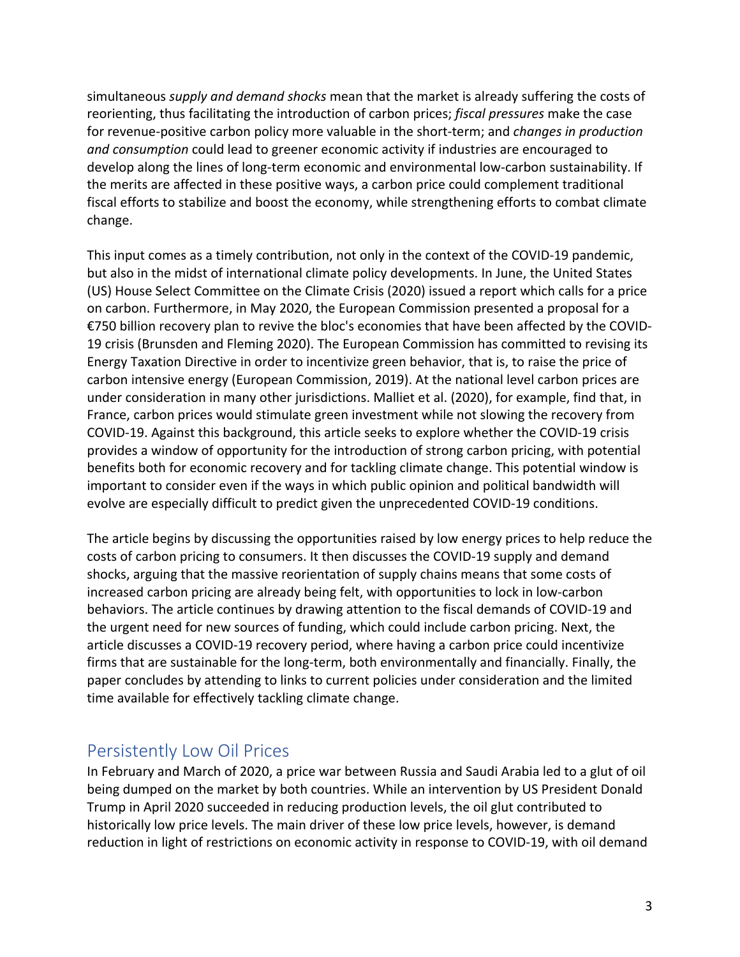simultaneous *supply and demand shocks* mean that the market is already suffering the costs of reorienting, thus facilitating the introduction of carbon prices; *fiscal pressures* make the case for revenue-positive carbon policy more valuable in the short-term; and *changes in production and consumption* could lead to greener economic activity if industries are encouraged to develop along the lines of long-term economic and environmental low-carbon sustainability. If the merits are affected in these positive ways, a carbon price could complement traditional fiscal efforts to stabilize and boost the economy, while strengthening efforts to combat climate change.

This input comes as a timely contribution, not only in the context of the COVID-19 pandemic, but also in the midst of international climate policy developments. In June, the United States (US) House Select Committee on the Climate Crisis (2020) issued a report which calls for a price on carbon. Furthermore, in May 2020, the European Commission presented a proposal for a €750 billion recovery plan to revive the bloc's economies that have been affected by the COVID-19 crisis (Brunsden and Fleming 2020). The European Commission has committed to revising its Energy Taxation Directive in order to incentivize green behavior, that is, to raise the price of carbon intensive energy (European Commission, 2019). At the national level carbon prices are under consideration in many other jurisdictions. Malliet et al. (2020), for example, find that, in France, carbon prices would stimulate green investment while not slowing the recovery from COVID-19. Against this background, this article seeks to explore whether the COVID-19 crisis provides a window of opportunity for the introduction of strong carbon pricing, with potential benefits both for economic recovery and for tackling climate change. This potential window is important to consider even if the ways in which public opinion and political bandwidth will evolve are especially difficult to predict given the unprecedented COVID-19 conditions.

The article begins by discussing the opportunities raised by low energy prices to help reduce the costs of carbon pricing to consumers. It then discusses the COVID-19 supply and demand shocks, arguing that the massive reorientation of supply chains means that some costs of increased carbon pricing are already being felt, with opportunities to lock in low-carbon behaviors. The article continues by drawing attention to the fiscal demands of COVID-19 and the urgent need for new sources of funding, which could include carbon pricing. Next, the article discusses a COVID-19 recovery period, where having a carbon price could incentivize firms that are sustainable for the long-term, both environmentally and financially. Finally, the paper concludes by attending to links to current policies under consideration and the limited time available for effectively tackling climate change.

## Persistently Low Oil Prices

In February and March of 2020, a price war between Russia and Saudi Arabia led to a glut of oil being dumped on the market by both countries. While an intervention by US President Donald Trump in April 2020 succeeded in reducing production levels, the oil glut contributed to historically low price levels. The main driver of these low price levels, however, is demand reduction in light of restrictions on economic activity in response to COVID-19, with oil demand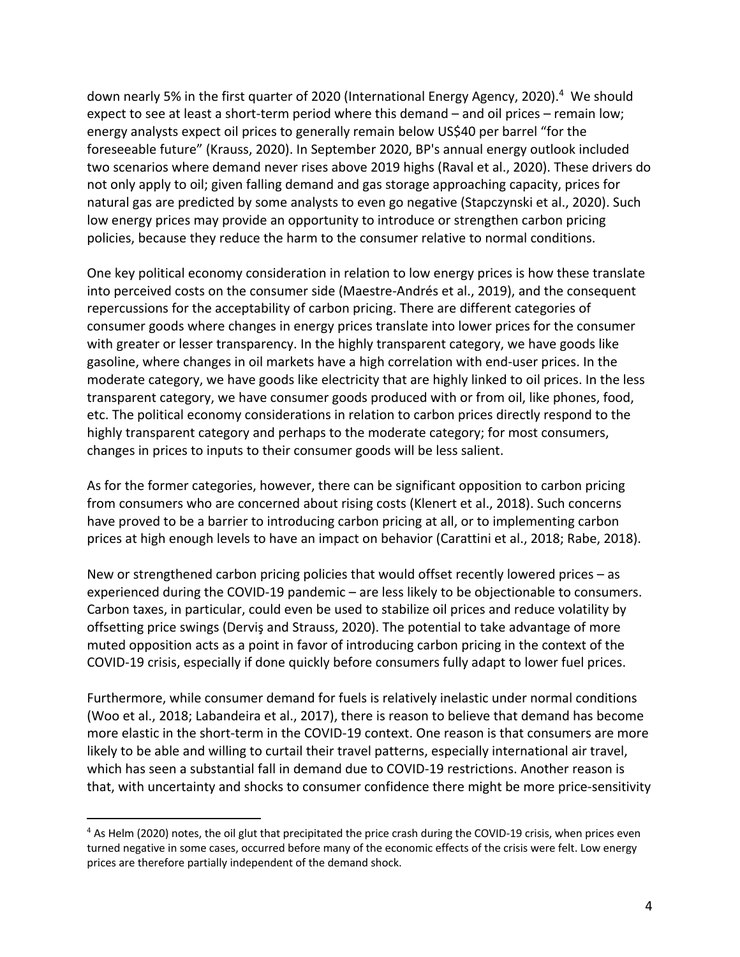down nearly 5% in the first quarter of 2020 (International Energy Agency, 2020). <sup>4</sup> We should expect to see at least a short-term period where this demand – and oil prices – remain low; energy analysts expect oil prices to generally remain below US\$40 per barrel "for the foreseeable future" (Krauss, 2020). In September 2020, BP's annual energy outlook included two scenarios where demand never rises above 2019 highs (Raval et al., 2020). These drivers do not only apply to oil; given falling demand and gas storage approaching capacity, prices for natural gas are predicted by some analysts to even go negative (Stapczynski et al., 2020). Such low energy prices may provide an opportunity to introduce or strengthen carbon pricing policies, because they reduce the harm to the consumer relative to normal conditions.

One key political economy consideration in relation to low energy prices is how these translate into perceived costs on the consumer side (Maestre-Andrés et al., 2019), and the consequent repercussions for the acceptability of carbon pricing. There are different categories of consumer goods where changes in energy prices translate into lower prices for the consumer with greater or lesser transparency. In the highly transparent category, we have goods like gasoline, where changes in oil markets have a high correlation with end-user prices. In the moderate category, we have goods like electricity that are highly linked to oil prices. In the less transparent category, we have consumer goods produced with or from oil, like phones, food, etc. The political economy considerations in relation to carbon prices directly respond to the highly transparent category and perhaps to the moderate category; for most consumers, changes in prices to inputs to their consumer goods will be less salient.

As for the former categories, however, there can be significant opposition to carbon pricing from consumers who are concerned about rising costs (Klenert et al., 2018). Such concerns have proved to be a barrier to introducing carbon pricing at all, or to implementing carbon prices at high enough levels to have an impact on behavior (Carattini et al., 2018; Rabe, 2018).

New or strengthened carbon pricing policies that would offset recently lowered prices – as experienced during the COVID-19 pandemic – are less likely to be objectionable to consumers. Carbon taxes, in particular, could even be used to stabilize oil prices and reduce volatility by offsetting price swings (Derviş and Strauss, 2020). The potential to take advantage of more muted opposition acts as a point in favor of introducing carbon pricing in the context of the COVID-19 crisis, especially if done quickly before consumers fully adapt to lower fuel prices.

Furthermore, while consumer demand for fuels is relatively inelastic under normal conditions (Woo et al., 2018; Labandeira et al., 2017), there is reason to believe that demand has become more elastic in the short-term in the COVID-19 context. One reason is that consumers are more likely to be able and willing to curtail their travel patterns, especially international air travel, which has seen a substantial fall in demand due to COVID-19 restrictions. Another reason is that, with uncertainty and shocks to consumer confidence there might be more price-sensitivity

<sup>&</sup>lt;sup>4</sup> As Helm (2020) notes, the oil glut that precipitated the price crash during the COVID-19 crisis, when prices even turned negative in some cases, occurred before many of the economic effects of the crisis were felt. Low energy prices are therefore partially independent of the demand shock.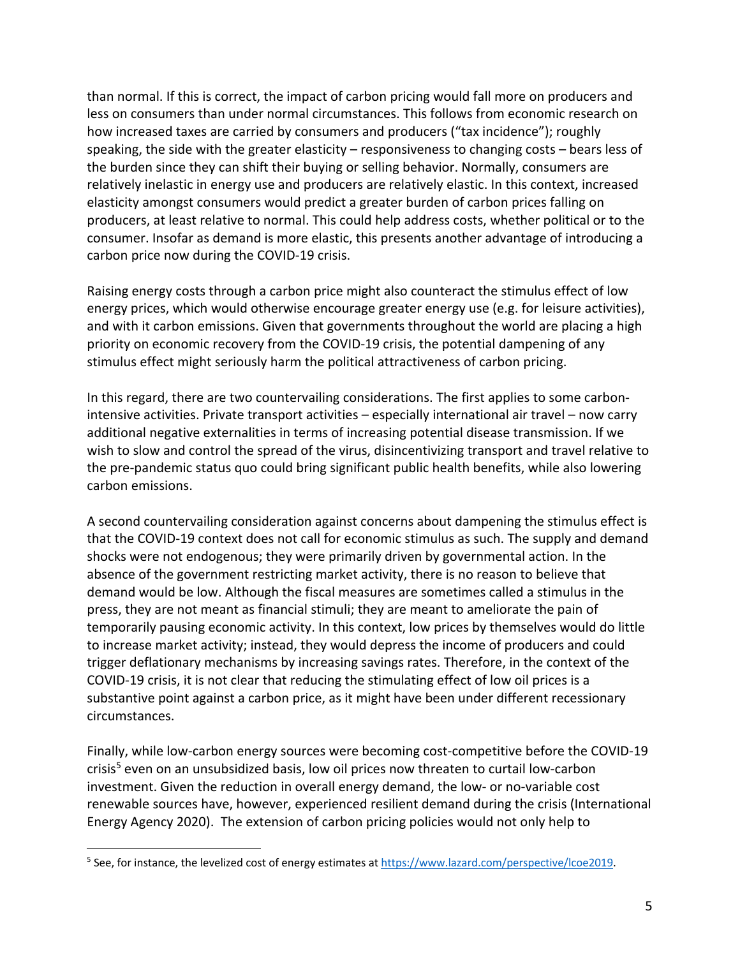than normal. If this is correct, the impact of carbon pricing would fall more on producers and less on consumers than under normal circumstances. This follows from economic research on how increased taxes are carried by consumers and producers ("tax incidence"); roughly speaking, the side with the greater elasticity – responsiveness to changing costs – bears less of the burden since they can shift their buying or selling behavior. Normally, consumers are relatively inelastic in energy use and producers are relatively elastic. In this context, increased elasticity amongst consumers would predict a greater burden of carbon prices falling on producers, at least relative to normal. This could help address costs, whether political or to the consumer. Insofar as demand is more elastic, this presents another advantage of introducing a carbon price now during the COVID-19 crisis.

Raising energy costs through a carbon price might also counteract the stimulus effect of low energy prices, which would otherwise encourage greater energy use (e.g. for leisure activities), and with it carbon emissions. Given that governments throughout the world are placing a high priority on economic recovery from the COVID-19 crisis, the potential dampening of any stimulus effect might seriously harm the political attractiveness of carbon pricing.

In this regard, there are two countervailing considerations. The first applies to some carbonintensive activities. Private transport activities – especially international air travel – now carry additional negative externalities in terms of increasing potential disease transmission. If we wish to slow and control the spread of the virus, disincentivizing transport and travel relative to the pre-pandemic status quo could bring significant public health benefits, while also lowering carbon emissions.

A second countervailing consideration against concerns about dampening the stimulus effect is that the COVID-19 context does not call for economic stimulus as such. The supply and demand shocks were not endogenous; they were primarily driven by governmental action. In the absence of the government restricting market activity, there is no reason to believe that demand would be low. Although the fiscal measures are sometimes called a stimulus in the press, they are not meant as financial stimuli; they are meant to ameliorate the pain of temporarily pausing economic activity. In this context, low prices by themselves would do little to increase market activity; instead, they would depress the income of producers and could trigger deflationary mechanisms by increasing savings rates. Therefore, in the context of the COVID-19 crisis, it is not clear that reducing the stimulating effect of low oil prices is a substantive point against a carbon price, as it might have been under different recessionary circumstances.

Finally, while low-carbon energy sources were becoming cost-competitive before the COVID-19 crisis<sup>5</sup> even on an unsubsidized basis, low oil prices now threaten to curtail low-carbon investment. Given the reduction in overall energy demand, the low- or no-variable cost renewable sources have, however, experienced resilient demand during the crisis (International Energy Agency 2020). The extension of carbon pricing policies would not only help to

<sup>5</sup> See, for instance, the levelized cost of energy estimates at https://www.lazard.com/perspective/lcoe2019.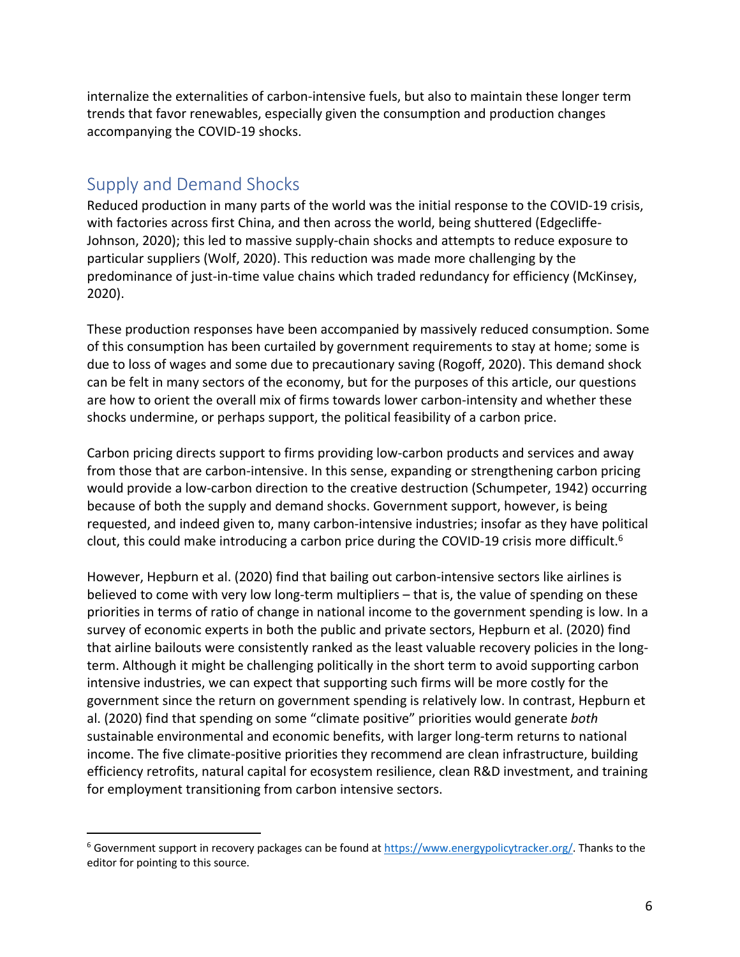internalize the externalities of carbon-intensive fuels, but also to maintain these longer term trends that favor renewables, especially given the consumption and production changes accompanying the COVID-19 shocks.

## Supply and Demand Shocks

Reduced production in many parts of the world was the initial response to the COVID-19 crisis, with factories across first China, and then across the world, being shuttered (Edgecliffe-Johnson, 2020); this led to massive supply-chain shocks and attempts to reduce exposure to particular suppliers (Wolf, 2020). This reduction was made more challenging by the predominance of just-in-time value chains which traded redundancy for efficiency (McKinsey, 2020).

These production responses have been accompanied by massively reduced consumption. Some of this consumption has been curtailed by government requirements to stay at home; some is due to loss of wages and some due to precautionary saving (Rogoff, 2020). This demand shock can be felt in many sectors of the economy, but for the purposes of this article, our questions are how to orient the overall mix of firms towards lower carbon-intensity and whether these shocks undermine, or perhaps support, the political feasibility of a carbon price.

Carbon pricing directs support to firms providing low-carbon products and services and away from those that are carbon-intensive. In this sense, expanding or strengthening carbon pricing would provide a low-carbon direction to the creative destruction (Schumpeter, 1942) occurring because of both the supply and demand shocks. Government support, however, is being requested, and indeed given to, many carbon-intensive industries; insofar as they have political clout, this could make introducing a carbon price during the COVID-19 crisis more difficult.<sup>6</sup>

However, Hepburn et al. (2020) find that bailing out carbon-intensive sectors like airlines is believed to come with very low long-term multipliers – that is, the value of spending on these priorities in terms of ratio of change in national income to the government spending is low. In a survey of economic experts in both the public and private sectors, Hepburn et al. (2020) find that airline bailouts were consistently ranked as the least valuable recovery policies in the longterm. Although it might be challenging politically in the short term to avoid supporting carbon intensive industries, we can expect that supporting such firms will be more costly for the government since the return on government spending is relatively low. In contrast, Hepburn et al. (2020) find that spending on some "climate positive" priorities would generate *both* sustainable environmental and economic benefits, with larger long-term returns to national income. The five climate-positive priorities they recommend are clean infrastructure, building efficiency retrofits, natural capital for ecosystem resilience, clean R&D investment, and training for employment transitioning from carbon intensive sectors.

<sup>&</sup>lt;sup>6</sup> Government support in recovery packages can be found at https://www.energypolicytracker.org/. Thanks to the editor for pointing to this source.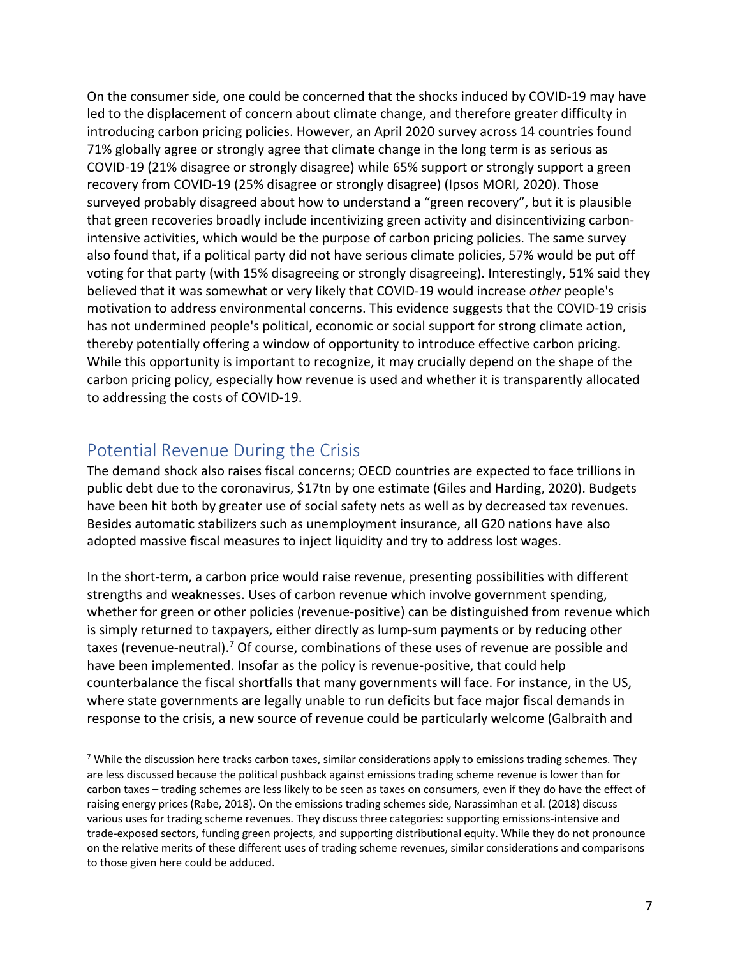On the consumer side, one could be concerned that the shocks induced by COVID-19 may have led to the displacement of concern about climate change, and therefore greater difficulty in introducing carbon pricing policies. However, an April 2020 survey across 14 countries found 71% globally agree or strongly agree that climate change in the long term is as serious as COVID-19 (21% disagree or strongly disagree) while 65% support or strongly support a green recovery from COVID-19 (25% disagree or strongly disagree) (Ipsos MORI, 2020). Those surveyed probably disagreed about how to understand a "green recovery", but it is plausible that green recoveries broadly include incentivizing green activity and disincentivizing carbonintensive activities, which would be the purpose of carbon pricing policies. The same survey also found that, if a political party did not have serious climate policies, 57% would be put off voting for that party (with 15% disagreeing or strongly disagreeing). Interestingly, 51% said they believed that it was somewhat or very likely that COVID-19 would increase *other* people's motivation to address environmental concerns. This evidence suggests that the COVID-19 crisis has not undermined people's political, economic or social support for strong climate action, thereby potentially offering a window of opportunity to introduce effective carbon pricing. While this opportunity is important to recognize, it may crucially depend on the shape of the carbon pricing policy, especially how revenue is used and whether it is transparently allocated to addressing the costs of COVID-19.

## Potential Revenue During the Crisis

The demand shock also raises fiscal concerns; OECD countries are expected to face trillions in public debt due to the coronavirus, \$17tn by one estimate (Giles and Harding, 2020). Budgets have been hit both by greater use of social safety nets as well as by decreased tax revenues. Besides automatic stabilizers such as unemployment insurance, all G20 nations have also adopted massive fiscal measures to inject liquidity and try to address lost wages.

In the short-term, a carbon price would raise revenue, presenting possibilities with different strengths and weaknesses. Uses of carbon revenue which involve government spending, whether for green or other policies (revenue-positive) can be distinguished from revenue which is simply returned to taxpayers, either directly as lump-sum payments or by reducing other taxes (revenue-neutral).<sup>7</sup> Of course, combinations of these uses of revenue are possible and have been implemented. Insofar as the policy is revenue-positive, that could help counterbalance the fiscal shortfalls that many governments will face. For instance, in the US, where state governments are legally unable to run deficits but face major fiscal demands in response to the crisis, a new source of revenue could be particularly welcome (Galbraith and

<sup>&</sup>lt;sup>7</sup> While the discussion here tracks carbon taxes, similar considerations apply to emissions trading schemes. They are less discussed because the political pushback against emissions trading scheme revenue is lower than for carbon taxes – trading schemes are less likely to be seen as taxes on consumers, even if they do have the effect of raising energy prices (Rabe, 2018). On the emissions trading schemes side, Narassimhan et al. (2018) discuss various uses for trading scheme revenues. They discuss three categories: supporting emissions-intensive and trade-exposed sectors, funding green projects, and supporting distributional equity. While they do not pronounce on the relative merits of these different uses of trading scheme revenues, similar considerations and comparisons to those given here could be adduced.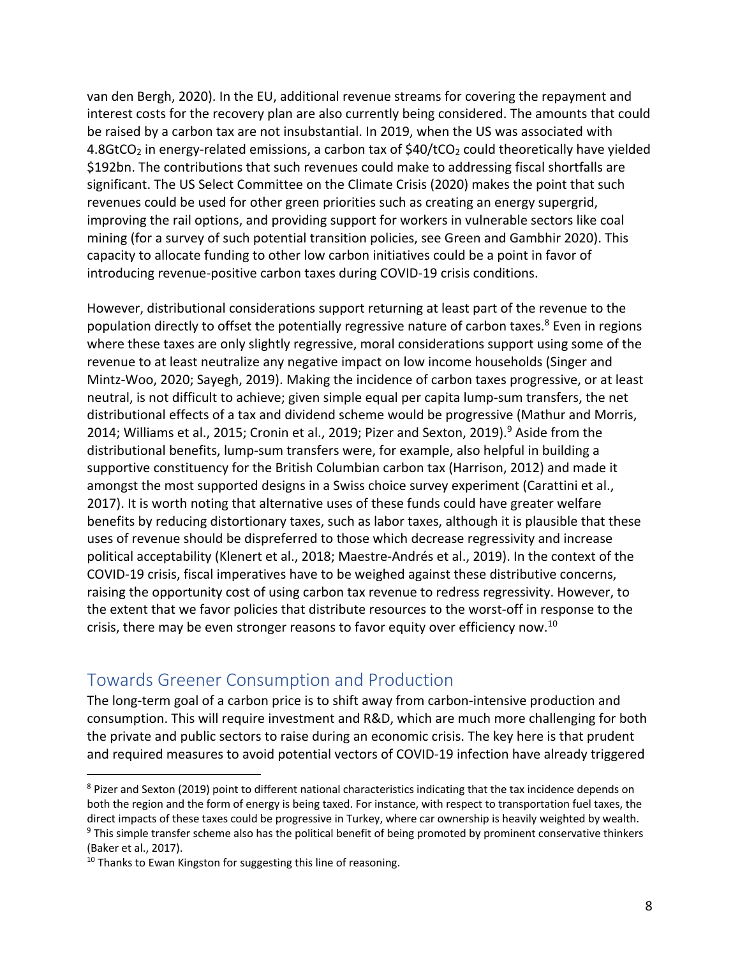van den Bergh, 2020). In the EU, additional revenue streams for covering the repayment and interest costs for the recovery plan are also currently being considered. The amounts that could be raised by a carbon tax are not insubstantial. In 2019, when the US was associated with 4.8GtCO<sub>2</sub> in energy-related emissions, a carbon tax of  $$40/tCO<sub>2</sub>$  could theoretically have yielded \$192bn. The contributions that such revenues could make to addressing fiscal shortfalls are significant. The US Select Committee on the Climate Crisis (2020) makes the point that such revenues could be used for other green priorities such as creating an energy supergrid, improving the rail options, and providing support for workers in vulnerable sectors like coal mining (for a survey of such potential transition policies, see Green and Gambhir 2020). This capacity to allocate funding to other low carbon initiatives could be a point in favor of introducing revenue-positive carbon taxes during COVID-19 crisis conditions.

However, distributional considerations support returning at least part of the revenue to the population directly to offset the potentially regressive nature of carbon taxes.<sup>8</sup> Even in regions where these taxes are only slightly regressive, moral considerations support using some of the revenue to at least neutralize any negative impact on low income households (Singer and Mintz-Woo, 2020; Sayegh, 2019). Making the incidence of carbon taxes progressive, or at least neutral, is not difficult to achieve; given simple equal per capita lump-sum transfers, the net distributional effects of a tax and dividend scheme would be progressive (Mathur and Morris, 2014; Williams et al., 2015; Cronin et al., 2019; Pizer and Sexton, 2019). <sup>9</sup> Aside from the distributional benefits, lump-sum transfers were, for example, also helpful in building a supportive constituency for the British Columbian carbon tax (Harrison, 2012) and made it amongst the most supported designs in a Swiss choice survey experiment (Carattini et al., 2017). It is worth noting that alternative uses of these funds could have greater welfare benefits by reducing distortionary taxes, such as labor taxes, although it is plausible that these uses of revenue should be dispreferred to those which decrease regressivity and increase political acceptability (Klenert et al., 2018; Maestre-Andrés et al., 2019). In the context of the COVID-19 crisis, fiscal imperatives have to be weighed against these distributive concerns, raising the opportunity cost of using carbon tax revenue to redress regressivity. However, to the extent that we favor policies that distribute resources to the worst-off in response to the crisis, there may be even stronger reasons to favor equity over efficiency now.<sup>10</sup>

#### Towards Greener Consumption and Production

The long-term goal of a carbon price is to shift away from carbon-intensive production and consumption. This will require investment and R&D, which are much more challenging for both the private and public sectors to raise during an economic crisis. The key here is that prudent and required measures to avoid potential vectors of COVID-19 infection have already triggered

<sup>&</sup>lt;sup>8</sup> Pizer and Sexton (2019) point to different national characteristics indicating that the tax incidence depends on both the region and the form of energy is being taxed. For instance, with respect to transportation fuel taxes, the direct impacts of these taxes could be progressive in Turkey, where car ownership is heavily weighted by wealth. <sup>9</sup> This simple transfer scheme also has the political benefit of being promoted by prominent conservative thinkers (Baker et al., 2017).

<sup>&</sup>lt;sup>10</sup> Thanks to Ewan Kingston for suggesting this line of reasoning.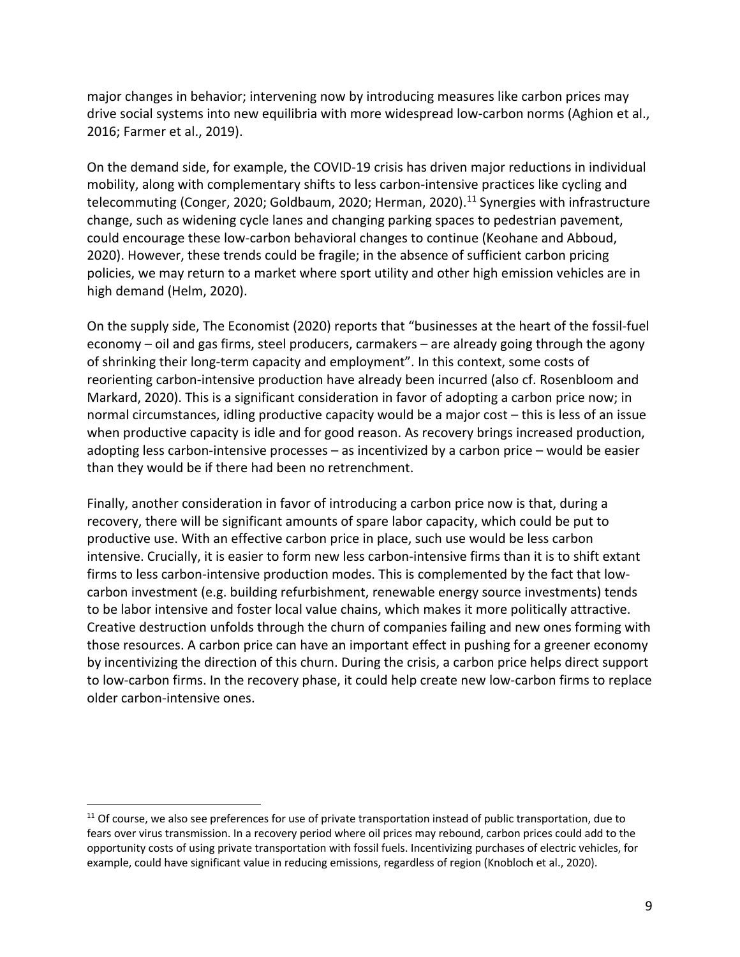major changes in behavior; intervening now by introducing measures like carbon prices may drive social systems into new equilibria with more widespread low-carbon norms (Aghion et al., 2016; Farmer et al., 2019).

On the demand side, for example, the COVID-19 crisis has driven major reductions in individual mobility, along with complementary shifts to less carbon-intensive practices like cycling and telecommuting (Conger, 2020; Goldbaum, 2020; Herman, 2020).<sup>11</sup> Synergies with infrastructure change, such as widening cycle lanes and changing parking spaces to pedestrian pavement, could encourage these low-carbon behavioral changes to continue (Keohane and Abboud, 2020). However, these trends could be fragile; in the absence of sufficient carbon pricing policies, we may return to a market where sport utility and other high emission vehicles are in high demand (Helm, 2020).

On the supply side, The Economist (2020) reports that "businesses at the heart of the fossil-fuel economy – oil and gas firms, steel producers, carmakers – are already going through the agony of shrinking their long-term capacity and employment". In this context, some costs of reorienting carbon-intensive production have already been incurred (also cf. Rosenbloom and Markard, 2020). This is a significant consideration in favor of adopting a carbon price now; in normal circumstances, idling productive capacity would be a major cost – this is less of an issue when productive capacity is idle and for good reason. As recovery brings increased production, adopting less carbon-intensive processes – as incentivized by a carbon price – would be easier than they would be if there had been no retrenchment.

Finally, another consideration in favor of introducing a carbon price now is that, during a recovery, there will be significant amounts of spare labor capacity, which could be put to productive use. With an effective carbon price in place, such use would be less carbon intensive. Crucially, it is easier to form new less carbon-intensive firms than it is to shift extant firms to less carbon-intensive production modes. This is complemented by the fact that lowcarbon investment (e.g. building refurbishment, renewable energy source investments) tends to be labor intensive and foster local value chains, which makes it more politically attractive. Creative destruction unfolds through the churn of companies failing and new ones forming with those resources. A carbon price can have an important effect in pushing for a greener economy by incentivizing the direction of this churn. During the crisis, a carbon price helps direct support to low-carbon firms. In the recovery phase, it could help create new low-carbon firms to replace older carbon-intensive ones.

 $11$  Of course, we also see preferences for use of private transportation instead of public transportation, due to fears over virus transmission. In a recovery period where oil prices may rebound, carbon prices could add to the opportunity costs of using private transportation with fossil fuels. Incentivizing purchases of electric vehicles, for example, could have significant value in reducing emissions, regardless of region (Knobloch et al., 2020).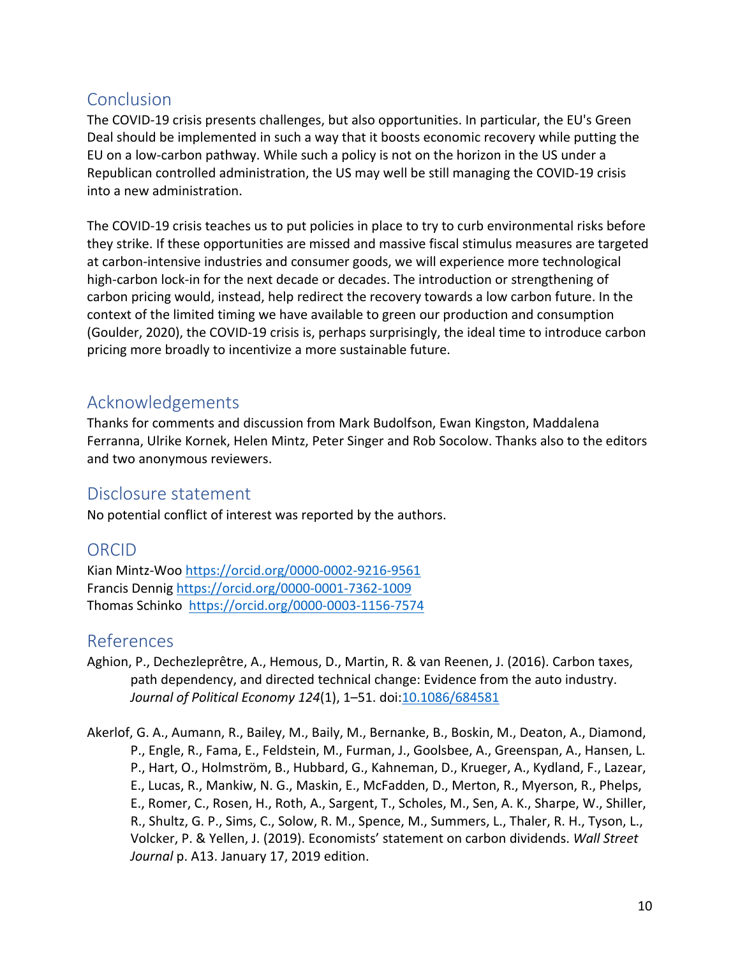## Conclusion

The COVID-19 crisis presents challenges, but also opportunities. In particular, the EU's Green Deal should be implemented in such a way that it boosts economic recovery while putting the EU on a low-carbon pathway. While such a policy is not on the horizon in the US under a Republican controlled administration, the US may well be still managing the COVID-19 crisis into a new administration.

The COVID-19 crisis teaches us to put policies in place to try to curb environmental risks before they strike. If these opportunities are missed and massive fiscal stimulus measures are targeted at carbon-intensive industries and consumer goods, we will experience more technological high-carbon lock-in for the next decade or decades. The introduction or strengthening of carbon pricing would, instead, help redirect the recovery towards a low carbon future. In the context of the limited timing we have available to green our production and consumption (Goulder, 2020), the COVID-19 crisis is, perhaps surprisingly, the ideal time to introduce carbon pricing more broadly to incentivize a more sustainable future.

## Acknowledgements

Thanks for comments and discussion from Mark Budolfson, Ewan Kingston, Maddalena Ferranna, Ulrike Kornek, Helen Mintz, Peter Singer and Rob Socolow. Thanks also to the editors and two anonymous reviewers.

## Disclosure statement

No potential conflict of interest was reported by the authors.

## ORCID

Kian Mintz-Woo https://orcid.org/0000-0002-9216-9561 Francis Dennig https://orcid.org/0000-0001-7362-1009 Thomas Schinko https://orcid.org/0000-0003-1156-7574

#### References

- Aghion, P., Dechezleprêtre, A., Hemous, D., Martin, R. & van Reenen, J. (2016). Carbon taxes, path dependency, and directed technical change: Evidence from the auto industry. *Journal of Political Economy 124*(1), 1–51. doi:10.1086/684581
- Akerlof, G. A., Aumann, R., Bailey, M., Baily, M., Bernanke, B., Boskin, M., Deaton, A., Diamond, P., Engle, R., Fama, E., Feldstein, M., Furman, J., Goolsbee, A., Greenspan, A., Hansen, L. P., Hart, O., Holmström, B., Hubbard, G., Kahneman, D., Krueger, A., Kydland, F., Lazear, E., Lucas, R., Mankiw, N. G., Maskin, E., McFadden, D., Merton, R., Myerson, R., Phelps, E., Romer, C., Rosen, H., Roth, A., Sargent, T., Scholes, M., Sen, A. K., Sharpe, W., Shiller, R., Shultz, G. P., Sims, C., Solow, R. M., Spence, M., Summers, L., Thaler, R. H., Tyson, L., Volcker, P. & Yellen, J. (2019). Economists' statement on carbon dividends. *Wall Street Journal* p. A13. January 17, 2019 edition.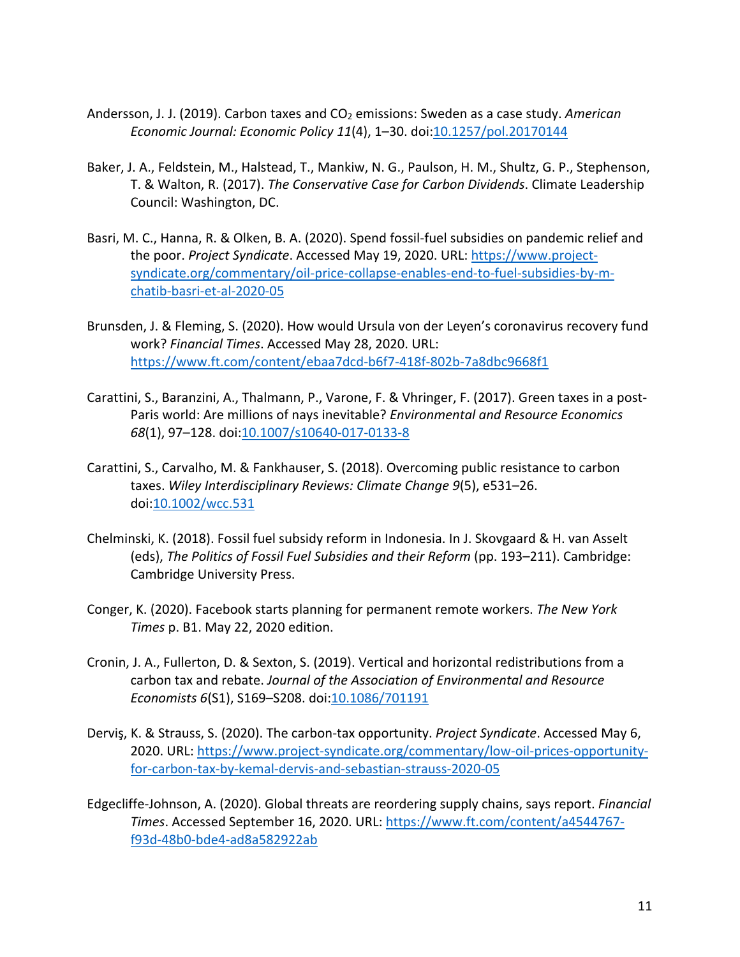- Andersson, J. J. (2019). Carbon taxes and CO<sub>2</sub> emissions: Sweden as a case study. American *Economic Journal: Economic Policy 11*(4), 1–30. doi:10.1257/pol.20170144
- Baker, J. A., Feldstein, M., Halstead, T., Mankiw, N. G., Paulson, H. M., Shultz, G. P., Stephenson, T. & Walton, R. (2017). *The Conservative Case for Carbon Dividends*. Climate Leadership Council: Washington, DC.
- Basri, M. C., Hanna, R. & Olken, B. A. (2020). Spend fossil-fuel subsidies on pandemic relief and the poor. *Project Syndicate*. Accessed May 19, 2020. URL: https://www.projectsyndicate.org/commentary/oil-price-collapse-enables-end-to-fuel-subsidies-by-mchatib-basri-et-al-2020-05
- Brunsden, J. & Fleming, S. (2020). How would Ursula von der Leyen's coronavirus recovery fund work? *Financial Times*. Accessed May 28, 2020. URL: https://www.ft.com/content/ebaa7dcd-b6f7-418f-802b-7a8dbc9668f1
- Carattini, S., Baranzini, A., Thalmann, P., Varone, F. & Vhringer, F. (2017). Green taxes in a post-Paris world: Are millions of nays inevitable? *Environmental and Resource Economics 68*(1), 97–128. doi:10.1007/s10640-017-0133-8
- Carattini, S., Carvalho, M. & Fankhauser, S. (2018). Overcoming public resistance to carbon taxes. *Wiley Interdisciplinary Reviews: Climate Change 9*(5), e531–26. doi:10.1002/wcc.531
- Chelminski, K. (2018). Fossil fuel subsidy reform in Indonesia. In J. Skovgaard & H. van Asselt (eds), *The Politics of Fossil Fuel Subsidies and their Reform* (pp. 193–211). Cambridge: Cambridge University Press.
- Conger, K. (2020). Facebook starts planning for permanent remote workers. *The New York Times* p. B1. May 22, 2020 edition.
- Cronin, J. A., Fullerton, D. & Sexton, S. (2019). Vertical and horizontal redistributions from a carbon tax and rebate. *Journal of the Association of Environmental and Resource Economists 6*(S1), S169–S208. doi:10.1086/701191
- Derviş, K. & Strauss, S. (2020). The carbon-tax opportunity. *Project Syndicate*. Accessed May 6, 2020. URL: https://www.project-syndicate.org/commentary/low-oil-prices-opportunityfor-carbon-tax-by-kemal-dervis-and-sebastian-strauss-2020-05
- Edgecliffe-Johnson, A. (2020). Global threats are reordering supply chains, says report. *Financial Times*. Accessed September 16, 2020. URL: https://www.ft.com/content/a4544767 f93d-48b0-bde4-ad8a582922ab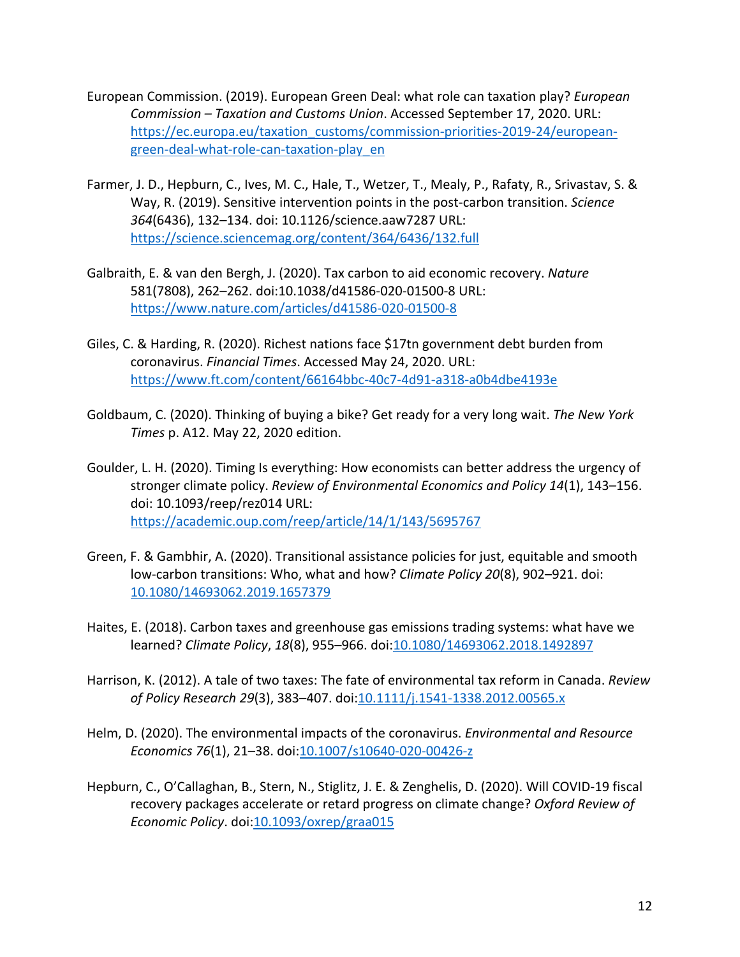- European Commission. (2019). European Green Deal: what role can taxation play? *European Commission – Taxation and Customs Union*. Accessed September 17, 2020. URL: https://ec.europa.eu/taxation\_customs/commission-priorities-2019-24/europeangreen-deal-what-role-can-taxation-play\_en
- Farmer, J. D., Hepburn, C., Ives, M. C., Hale, T., Wetzer, T., Mealy, P., Rafaty, R., Srivastav, S. & Way, R. (2019). Sensitive intervention points in the post-carbon transition. *Science 364*(6436), 132–134. doi: 10.1126/science.aaw7287 URL: https://science.sciencemag.org/content/364/6436/132.full
- Galbraith, E. & van den Bergh, J. (2020). Tax carbon to aid economic recovery. *Nature* 581(7808), 262–262. doi:10.1038/d41586-020-01500-8 URL: https://www.nature.com/articles/d41586-020-01500-8
- Giles, C. & Harding, R. (2020). Richest nations face \$17tn government debt burden from coronavirus. *Financial Times*. Accessed May 24, 2020. URL: https://www.ft.com/content/66164bbc-40c7-4d91-a318-a0b4dbe4193e
- Goldbaum, C. (2020). Thinking of buying a bike? Get ready for a very long wait. *The New York Times* p. A12. May 22, 2020 edition.
- Goulder, L. H. (2020). Timing Is everything: How economists can better address the urgency of stronger climate policy. *Review of Environmental Economics and Policy 14*(1), 143–156. doi: 10.1093/reep/rez014 URL: https://academic.oup.com/reep/article/14/1/143/5695767
- Green, F. & Gambhir, A. (2020). Transitional assistance policies for just, equitable and smooth low-carbon transitions: Who, what and how? *Climate Policy 20*(8), 902–921. doi: 10.1080/14693062.2019.1657379
- Haites, E. (2018). Carbon taxes and greenhouse gas emissions trading systems: what have we learned? *Climate Policy*, *18*(8), 955–966. doi:10.1080/14693062.2018.1492897
- Harrison, K. (2012). A tale of two taxes: The fate of environmental tax reform in Canada. *Review of Policy Research 29*(3), 383–407. doi:10.1111/j.1541-1338.2012.00565.x
- Helm, D. (2020). The environmental impacts of the coronavirus. *Environmental and Resource Economics 76*(1), 21–38. doi:10.1007/s10640-020-00426-z
- Hepburn, C., O'Callaghan, B., Stern, N., Stiglitz, J. E. & Zenghelis, D. (2020). Will COVID-19 fiscal recovery packages accelerate or retard progress on climate change? *Oxford Review of Economic Policy*. doi:10.1093/oxrep/graa015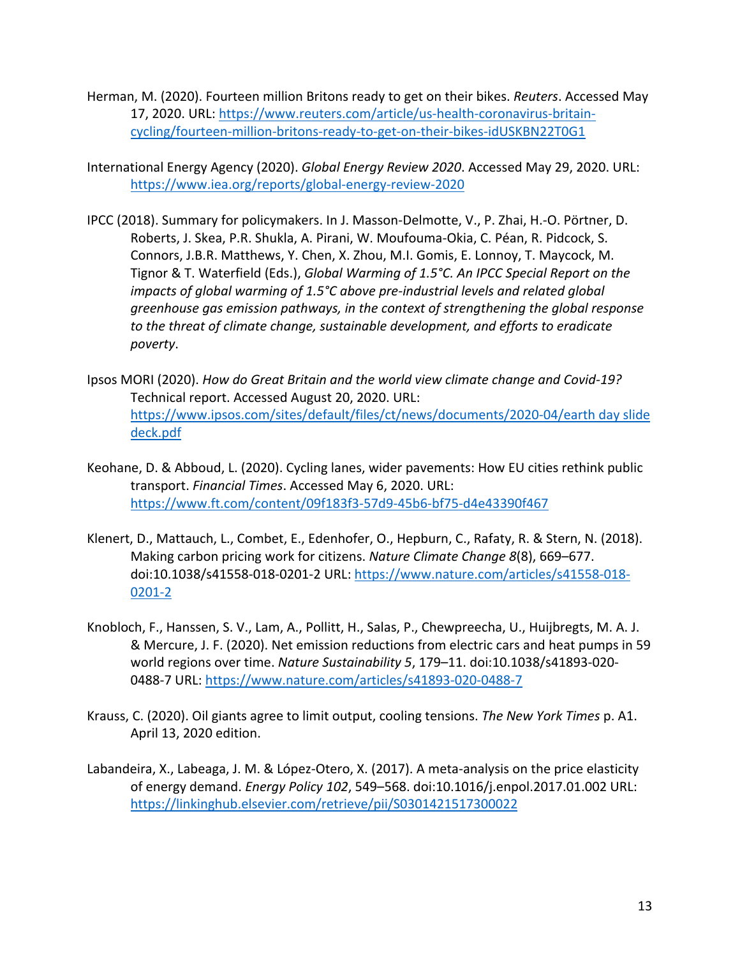- Herman, M. (2020). Fourteen million Britons ready to get on their bikes. *Reuters*. Accessed May 17, 2020. URL: https://www.reuters.com/article/us-health-coronavirus-britaincycling/fourteen-million-britons-ready-to-get-on-their-bikes-idUSKBN22T0G1
- International Energy Agency (2020). *Global Energy Review 2020*. Accessed May 29, 2020. URL: https://www.iea.org/reports/global-energy-review-2020
- IPCC (2018). Summary for policymakers. In J. Masson-Delmotte, V., P. Zhai, H.-O. Pörtner, D. Roberts, J. Skea, P.R. Shukla, A. Pirani, W. Moufouma-Okia, C. Péan, R. Pidcock, S. Connors, J.B.R. Matthews, Y. Chen, X. Zhou, M.I. Gomis, E. Lonnoy, T. Maycock, M. Tignor & T. Waterfield (Eds.), *Global Warming of 1.5°C. An IPCC Special Report on the impacts of global warming of 1.5°C above pre-industrial levels and related global greenhouse gas emission pathways, in the context of strengthening the global response to the threat of climate change, sustainable development, and efforts to eradicate poverty*.
- Ipsos MORI (2020). *How do Great Britain and the world view climate change and Covid-19?* Technical report. Accessed August 20, 2020. URL: https://www.ipsos.com/sites/default/files/ct/news/documents/2020-04/earth day slide deck.pdf
- Keohane, D. & Abboud, L. (2020). Cycling lanes, wider pavements: How EU cities rethink public transport. *Financial Times*. Accessed May 6, 2020. URL: https://www.ft.com/content/09f183f3-57d9-45b6-bf75-d4e43390f467
- Klenert, D., Mattauch, L., Combet, E., Edenhofer, O., Hepburn, C., Rafaty, R. & Stern, N. (2018). Making carbon pricing work for citizens. *Nature Climate Change 8*(8), 669–677. doi:10.1038/s41558-018-0201-2 URL: https://www.nature.com/articles/s41558-018- 0201-2
- Knobloch, F., Hanssen, S. V., Lam, A., Pollitt, H., Salas, P., Chewpreecha, U., Huijbregts, M. A. J. & Mercure, J. F. (2020). Net emission reductions from electric cars and heat pumps in 59 world regions over time. *Nature Sustainability 5*, 179–11. doi:10.1038/s41893-020- 0488-7 URL: https://www.nature.com/articles/s41893-020-0488-7
- Krauss, C. (2020). Oil giants agree to limit output, cooling tensions. *The New York Times* p. A1. April 13, 2020 edition.
- Labandeira, X., Labeaga, J. M. & López-Otero, X. (2017). A meta-analysis on the price elasticity of energy demand. *Energy Policy 102*, 549–568. doi:10.1016/j.enpol.2017.01.002 URL: https://linkinghub.elsevier.com/retrieve/pii/S0301421517300022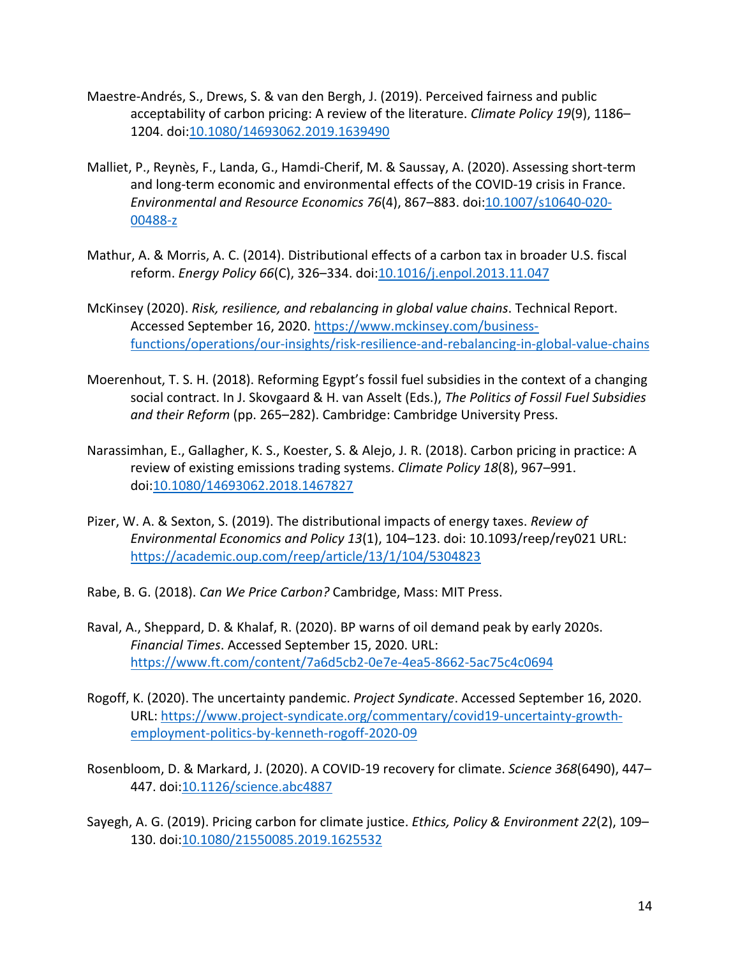- Maestre-Andrés, S., Drews, S. & van den Bergh, J. (2019). Perceived fairness and public acceptability of carbon pricing: A review of the literature. *Climate Policy 19*(9), 1186– 1204. doi:10.1080/14693062.2019.1639490
- Malliet, P., Reynès, F., Landa, G., Hamdi-Cherif, M. & Saussay, A. (2020). Assessing short-term and long-term economic and environmental effects of the COVID-19 crisis in France. *Environmental and Resource Economics 76*(4), 867–883. doi:10.1007/s10640-020- 00488-z
- Mathur, A. & Morris, A. C. (2014). Distributional effects of a carbon tax in broader U.S. fiscal reform. *Energy Policy 66*(C), 326–334. doi:10.1016/j.enpol.2013.11.047
- McKinsey (2020). *Risk, resilience, and rebalancing in global value chains*. Technical Report. Accessed September 16, 2020. https://www.mckinsey.com/businessfunctions/operations/our-insights/risk-resilience-and-rebalancing-in-global-value-chains
- Moerenhout, T. S. H. (2018). Reforming Egypt's fossil fuel subsidies in the context of a changing social contract. In J. Skovgaard & H. van Asselt (Eds.), *The Politics of Fossil Fuel Subsidies and their Reform* (pp. 265–282). Cambridge: Cambridge University Press.
- Narassimhan, E., Gallagher, K. S., Koester, S. & Alejo, J. R. (2018). Carbon pricing in practice: A review of existing emissions trading systems. *Climate Policy 18*(8), 967–991. doi:10.1080/14693062.2018.1467827
- Pizer, W. A. & Sexton, S. (2019). The distributional impacts of energy taxes. *Review of Environmental Economics and Policy 13*(1), 104–123. doi: 10.1093/reep/rey021 URL: https://academic.oup.com/reep/article/13/1/104/5304823
- Rabe, B. G. (2018). *Can We Price Carbon?* Cambridge, Mass: MIT Press.
- Raval, A., Sheppard, D. & Khalaf, R. (2020). BP warns of oil demand peak by early 2020s. *Financial Times*. Accessed September 15, 2020. URL: https://www.ft.com/content/7a6d5cb2-0e7e-4ea5-8662-5ac75c4c0694
- Rogoff, K. (2020). The uncertainty pandemic. *Project Syndicate*. Accessed September 16, 2020. URL: https://www.project-syndicate.org/commentary/covid19-uncertainty-growthemployment-politics-by-kenneth-rogoff-2020-09
- Rosenbloom, D. & Markard, J. (2020). A COVID-19 recovery for climate. *Science 368*(6490), 447– 447. doi:10.1126/science.abc4887
- Sayegh, A. G. (2019). Pricing carbon for climate justice. *Ethics, Policy & Environment 22*(2), 109– 130. doi:10.1080/21550085.2019.1625532